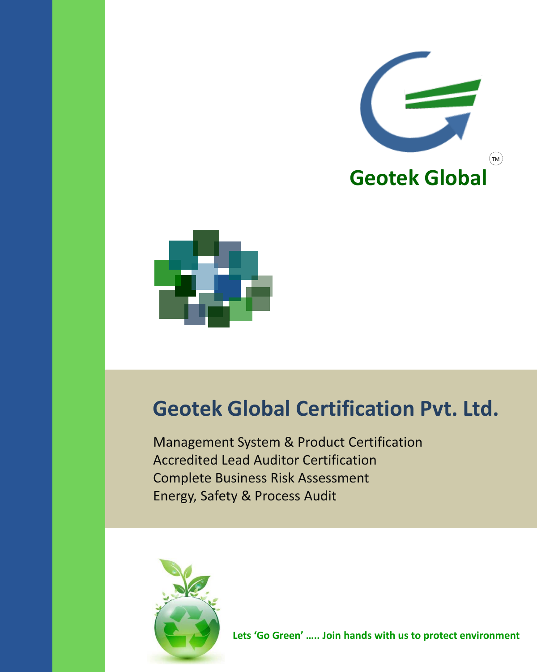



# **Geotek Global Certification Pvt. Ltd.**

Management System & Product Certification Accredited Lead Auditor Certification Complete Business Risk Assessment Energy, Safety & Process Audit

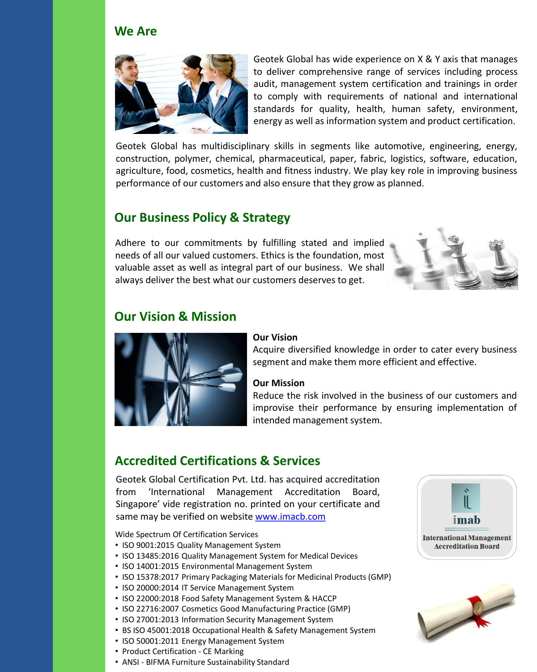#### **We Are**



Geotek Global has wide experience on X & Y axis that manages to deliver comprehensive range of services including process audit, management system certification and trainings in order to comply with requirements of national and international standards for quality, health, human safety, environment, energy as well as information system and product certification.

Geotek Global has multidisciplinary skills in segments like automotive, engineering, energy, construction, polymer, chemical, pharmaceutical, paper, fabric, logistics, software, education, agriculture, food, cosmetics, health and fitness industry. We play key role in improving business performance of our customers and also ensure that they grow as planned.

#### **Our Business Policy & Strategy**

Adhere to our commitments by fulfilling stated and implied needs of all our valued customers. Ethics is the foundation, most valuable asset as well as integral part of our business. We shall always deliver the best what our customers deserves to get.



#### **Our Vision & Mission**



#### **Our Vision**

Acquire diversified knowledge in order to cater every business segment and make them more efficient and effective.

#### **Our Mission**

Reduce the risk involved in the business of our customers and improvise their performance by ensuring implementation of intended management system.

#### **Accredited Certifications & Services**

Geotek Global Certification Pvt. Ltd. has acquired accreditation from 'International Management Accreditation Board, Singapore' vide registration no. printed on your certificate and same may be verified on website [www.imacb.com](http://www.imacb.com/)

Wide Spectrum Of Certification Services

- ISO 9001:2015 Quality Management System
- ISO 13485:2016 Quality Management System for Medical Devices
- ISO 14001:2015 Environmental Management System
- ISO 15378:2017 Primary Packaging Materials for Medicinal Products (GMP)
- ISO 20000:2014 IT Service Management System
- ISO 22000:2018 Food Safety Management System & HACCP
- ISO 22716:2007 Cosmetics Good Manufacturing Practice (GMP)
- ISO 27001:2013 Information Security Management System
- BS ISO 45001:2018 Occupational Health & Safety Management System
- ISO 50001:2011 Energy Management System
- Product Certification CE Marking
- ANSI BIFMA Furniture Sustainability Standard



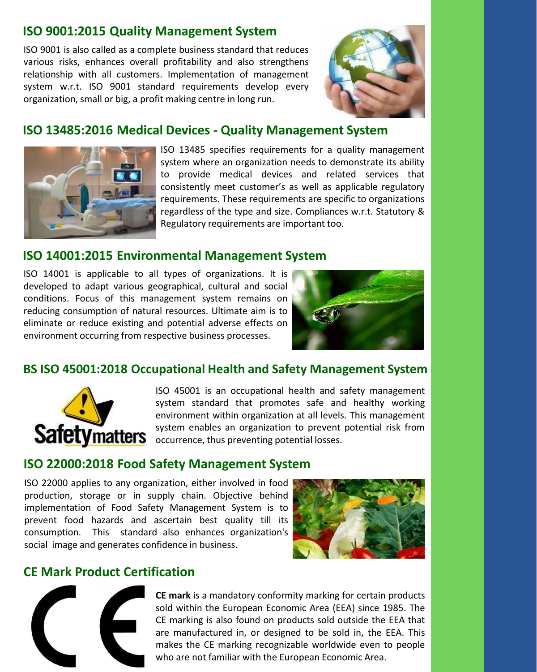## **ISO 9001:2015 Quality Management System**

ISO 9001 is also called as a complete business standard that reduces various risks, enhances overall profitability and also strengthens relationship with all customers. Implementation of management system w.r.t. ISO 9001 standard requirements develop every organization, small or big, a profit making centre in long run.



#### **ISO 13485:2016 Medical Devices - Quality Management System**



ISO 13485 specifies requirements for a quality management system where an organization needs to demonstrate its ability to provide medical devices and related services that consistently meet customer's as well as applicable regulatory requirements. These requirements are specific to organizations regardless of the type and size. Compliances w.r.t. Statutory & Regulatory requirements are important too.

#### **ISO 14001:2015 Environmental Management System**

ISO 14001 is applicable to all types of organizations. It is developed to adapt various geographical, cultural and social conditions. Focus of this management system remains on reducing consumption of natural resources. Ultimate aim is to eliminate or reduce existing and potential adverse effects on environment occurring from respective business processes.



#### **BS ISO 45001:2018 Occupational Health and Safety Management System**



ISO 45001 is an occupational health and safety management system standard that promotes safe and healthy working environment within organization at all levels. This management system enables an organization to prevent potential risk from Safetymatters system enables an organization to prevent

#### **ISO 22000:2018 Food Safety Management System**

ISO 22000 applies to any organization, either involved in food production, storage or in supply chain. Objective behind implementation of Food Safety Management System is to prevent food hazards and ascertain best quality till its consumption. This standard also enhances organization's social image and generates confidence in business.



#### **CE Mark Product Certification**



**CE mark** is a mandatory conformity marking for certain products sold within the European Economic Area (EEA) since 1985. The CE marking is also found on products sold outside the EEA that are manufactured in, or designed to be sold in, the EEA. This makes the CE marking recognizable worldwide even to people who are not familiar with the European Economic Area.